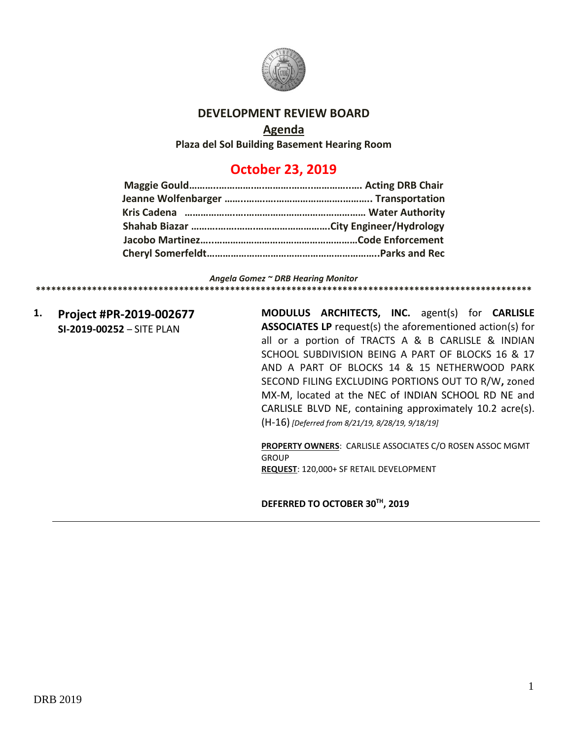

## **DEVELOPMENT REVIEW BOARD**

### **Agenda**

**Plaza del Sol Building Basement Hearing Room**

# **October 23, 2019**

#### *Angela Gomez ~ DRB Hearing Monitor*

**1. Project #PR-2019-002677 SI-2019-00252** – SITE PLAN

**MODULUS ARCHITECTS, INC.** agent(s) for **CARLISLE ASSOCIATES LP** request(s) the aforementioned action(s) for all or a portion of TRACTS A & B CARLISLE & INDIAN SCHOOL SUBDIVISION BEING A PART OF BLOCKS 16 & 17 AND A PART OF BLOCKS 14 & 15 NETHERWOOD PARK SECOND FILING EXCLUDING PORTIONS OUT TO R/W**,** zoned MX-M, located at the NEC of INDIAN SCHOOL RD NE and CARLISLE BLVD NE, containing approximately 10.2 acre(s). (H-16) *[Deferred from 8/21/19, 8/28/19, 9/18/19]*

**\*\*\*\*\*\*\*\*\*\*\*\*\*\*\*\*\*\*\*\*\*\*\*\*\*\*\*\*\*\*\*\*\*\*\*\*\*\*\*\*\*\*\*\*\*\*\*\*\*\*\*\*\*\*\*\*\*\*\*\*\*\*\*\*\*\*\*\*\*\*\*\*\*\*\*\*\*\*\*\*\*\*\*\*\*\*\*\*\*\*\*\*\*\*\*\*\***

**PROPERTY OWNERS**: CARLISLE ASSOCIATES C/O ROSEN ASSOC MGMT GROUP **REQUEST**: 120,000+ SF RETAIL DEVELOPMENT

**DEFERRED TO OCTOBER 30TH, 2019**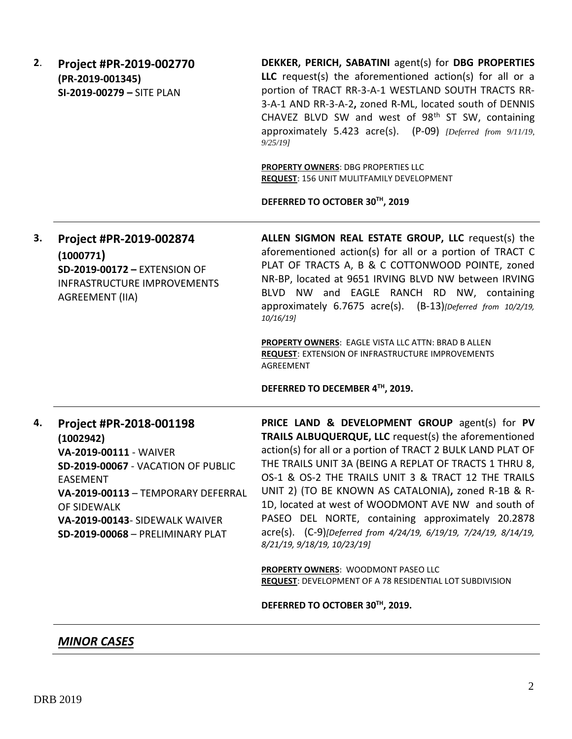| 2. | Project #PR-2019-002770<br>(PR-2019-001345)<br>SI-2019-00279 - SITE PLAN                                                                                                                                                                           | DEKKER, PERICH, SABATINI agent(s) for DBG PROPERTIES<br>LLC request(s) the aforementioned action(s) for all or a<br>portion of TRACT RR-3-A-1 WESTLAND SOUTH TRACTS RR-<br>3-A-1 AND RR-3-A-2, zoned R-ML, located south of DENNIS<br>CHAVEZ BLVD SW and west of 98 <sup>th</sup> ST SW, containing<br>approximately 5.423 acre(s). (P-09) [Deferred from 9/11/19,<br>9/25/19<br><b>PROPERTY OWNERS: DBG PROPERTIES LLC</b><br><b>REQUEST: 156 UNIT MULITFAMILY DEVELOPMENT</b><br>DEFERRED TO OCTOBER 30TH, 2019                                                                                                                                                       |
|----|----------------------------------------------------------------------------------------------------------------------------------------------------------------------------------------------------------------------------------------------------|-------------------------------------------------------------------------------------------------------------------------------------------------------------------------------------------------------------------------------------------------------------------------------------------------------------------------------------------------------------------------------------------------------------------------------------------------------------------------------------------------------------------------------------------------------------------------------------------------------------------------------------------------------------------------|
| 3. | Project #PR-2019-002874<br>(1000771)<br>SD-2019-00172 - EXTENSION OF<br><b>INFRASTRUCTURE IMPROVEMENTS</b><br><b>AGREEMENT (IIA)</b>                                                                                                               | ALLEN SIGMON REAL ESTATE GROUP, LLC request(s) the<br>aforementioned action(s) for all or a portion of TRACT C<br>PLAT OF TRACTS A, B & C COTTONWOOD POINTE, zoned<br>NR-BP, located at 9651 IRVING BLVD NW between IRVING<br>BLVD NW and EAGLE RANCH RD NW, containing<br>approximately 6.7675 acre(s). (B-13)[Deferred from 10/2/19,<br>10/16/19<br>PROPERTY OWNERS: EAGLE VISTA LLC ATTN: BRAD B ALLEN<br><b>REQUEST: EXTENSION OF INFRASTRUCTURE IMPROVEMENTS</b><br><b>AGREEMENT</b><br>DEFERRED TO DECEMBER 4TH, 2019.                                                                                                                                            |
| 4. | Project #PR-2018-001198<br>(1002942)<br>VA-2019-00111 - WAIVER<br>SD-2019-00067 - VACATION OF PUBLIC<br><b>EASEMENT</b><br>VA-2019-00113 - TEMPORARY DEFERRAL<br>OF SIDEWALK<br>VA-2019-00143- SIDEWALK WAIVER<br>SD-2019-00068 - PRELIMINARY PLAT | PRICE LAND & DEVELOPMENT GROUP agent(s) for PV<br>TRAILS ALBUQUERQUE, LLC request(s) the aforementioned<br>action(s) for all or a portion of TRACT 2 BULK LAND PLAT OF<br>THE TRAILS UNIT 3A (BEING A REPLAT OF TRACTS 1 THRU 8,<br>OS-1 & OS-2 THE TRAILS UNIT 3 & TRACT 12 THE TRAILS<br>UNIT 2) (TO BE KNOWN AS CATALONIA), zoned R-1B & R-<br>1D, located at west of WOODMONT AVE NW and south of<br>PASEO DEL NORTE, containing approximately 20.2878<br>acre(s). (C-9)[Deferred from 4/24/19, 6/19/19, 7/24/19, 8/14/19,<br>8/21/19, 9/18/19, 10/23/19]<br><b>PROPERTY OWNERS: WOODMONT PASEO LLC</b><br>REQUEST: DEVELOPMENT OF A 78 RESIDENTIAL LOT SUBDIVISION |
|    |                                                                                                                                                                                                                                                    | DEFERRED TO OCTOBER 30TH, 2019.                                                                                                                                                                                                                                                                                                                                                                                                                                                                                                                                                                                                                                         |

## *MINOR CASES*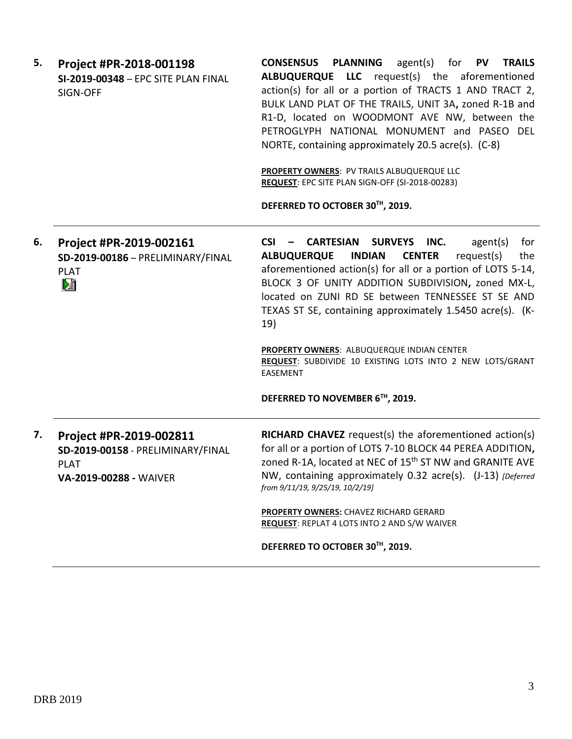| 5. | Project #PR-2018-001198<br>SI-2019-00348 - EPC SITE PLAN FINAL<br>SIGN-OFF                            | <b>CONSENSUS PLANNING</b> agent(s) for PV<br><b>TRAILS</b><br>ALBUQUERQUE LLC request(s) the aforementioned<br>action(s) for all or a portion of TRACTS 1 AND TRACT 2,<br>BULK LAND PLAT OF THE TRAILS, UNIT 3A, zoned R-1B and<br>R1-D, located on WOODMONT AVE NW, between the<br>PETROGLYPH NATIONAL MONUMENT and PASEO DEL<br>NORTE, containing approximately 20.5 acre(s). (C-8)<br>PROPERTY OWNERS: PV TRAILS ALBUQUERQUE LLC<br>REQUEST: EPC SITE PLAN SIGN-OFF (SI-2018-00283)<br>DEFERRED TO OCTOBER 30TH, 2019. |
|----|-------------------------------------------------------------------------------------------------------|---------------------------------------------------------------------------------------------------------------------------------------------------------------------------------------------------------------------------------------------------------------------------------------------------------------------------------------------------------------------------------------------------------------------------------------------------------------------------------------------------------------------------|
| 6. | Project #PR-2019-002161<br>SD-2019-00186 - PRELIMINARY/FINAL<br><b>PLAT</b><br>V.                     | CSI - CARTESIAN SURVEYS INC.<br>agent(s)<br>for<br><b>ALBUQUERQUE</b><br><b>INDIAN</b><br><b>CENTER</b><br>request(s)<br>the<br>aforementioned action(s) for all or a portion of LOTS 5-14,<br>BLOCK 3 OF UNITY ADDITION SUBDIVISION, zoned MX-L,<br>located on ZUNI RD SE between TENNESSEE ST SE AND<br>TEXAS ST SE, containing approximately 1.5450 acre(s). (K-<br>19)                                                                                                                                                |
|    |                                                                                                       | PROPERTY OWNERS: ALBUQUERQUE INDIAN CENTER<br>REQUEST: SUBDIVIDE 10 EXISTING LOTS INTO 2 NEW LOTS/GRANT<br><b>EASEMENT</b><br>DEFERRED TO NOVEMBER 6TH, 2019.                                                                                                                                                                                                                                                                                                                                                             |
|    |                                                                                                       |                                                                                                                                                                                                                                                                                                                                                                                                                                                                                                                           |
| 7. | Project #PR-2019-002811<br>SD-2019-00158 - PRELIMINARY/FINAL<br><b>PLAT</b><br>VA-2019-00288 - WAIVER | <b>RICHARD CHAVEZ</b> request(s) the aforementioned action(s)<br>for all or a portion of LOTS 7-10 BLOCK 44 PEREA ADDITION,<br>zoned R-1A, located at NEC of 15 <sup>th</sup> ST NW and GRANITE AVE<br>NW, containing approximately 0.32 acre(s). (J-13) [Deferred<br>from 9/11/19, 9/25/19, 10/2/19]                                                                                                                                                                                                                     |
|    |                                                                                                       | PROPERTY OWNERS: CHAVEZ RICHARD GERARD<br>REQUEST: REPLAT 4 LOTS INTO 2 AND S/W WAIVER                                                                                                                                                                                                                                                                                                                                                                                                                                    |
|    |                                                                                                       | DEFERRED TO OCTOBER 30TH, 2019.                                                                                                                                                                                                                                                                                                                                                                                                                                                                                           |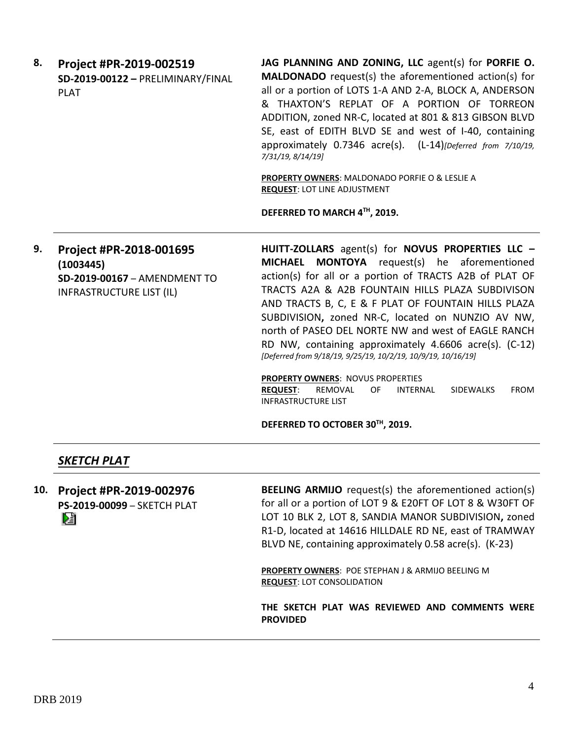**8. Project #PR-2019-002519 SD-2019-00122 –** PRELIMINARY/FINAL PLAT

**JAG PLANNING AND ZONING, LLC** agent(s) for **PORFIE O. MALDONADO** request(s) the aforementioned action(s) for all or a portion of LOTS 1-A AND 2-A, BLOCK A, ANDERSON & THAXTON'S REPLAT OF A PORTION OF TORREON ADDITION, zoned NR-C, located at 801 & 813 GIBSON BLVD SE, east of EDITH BLVD SE and west of I-40, containing approximately 0.7346 acre(s). (L-14)*[Deferred from 7/10/19, 7/31/19, 8/14/19]*

**PROPERTY OWNERS**: MALDONADO PORFIE O & LESLIE A **REQUEST**: LOT LINE ADJUSTMENT

**DEFERRED TO MARCH 4TH, 2019.**

**9. Project #PR-2018-001695 (1003445) SD-2019-00167** – AMENDMENT TO INFRASTRUCTURE LIST (IL)

**HUITT-ZOLLARS** agent(s) for **NOVUS PROPERTIES LLC – MICHAEL MONTOYA** request(s) he aforementioned action(s) for all or a portion of TRACTS A2B of PLAT OF TRACTS A2A & A2B FOUNTAIN HILLS PLAZA SUBDIVISON AND TRACTS B, C, E & F PLAT OF FOUNTAIN HILLS PLAZA SUBDIVISION**,** zoned NR-C, located on NUNZIO AV NW, north of PASEO DEL NORTE NW and west of EAGLE RANCH RD NW, containing approximately 4.6606 acre(s). (C-12) *[Deferred from 9/18/19, 9/25/19, 10/2/19, 10/9/19, 10/16/19]*

**PROPERTY OWNERS**: NOVUS PROPERTIES

**REQUEST**: REMOVAL OF INTERNAL SIDEWALKS FROM INFRASTRUCTURE LIST

**DEFERRED TO OCTOBER 30TH, 2019.**

## *SKETCH PLAT*

**10. Project #PR-2019-002976 PS-2019-00099** – SKETCH PLAT Dă

**BEELING ARMIJO** request(s) the aforementioned action(s) for all or a portion of LOT 9 & E20FT OF LOT 8 & W30FT OF LOT 10 BLK 2, LOT 8, SANDIA MANOR SUBDIVISION**,** zoned R1-D, located at 14616 HILLDALE RD NE, east of TRAMWAY BLVD NE, containing approximately 0.58 acre(s). (K-23)

**PROPERTY OWNERS**: POE STEPHAN J & ARMIJO BEELING M **REQUEST**: LOT CONSOLIDATION

**THE SKETCH PLAT WAS REVIEWED AND COMMENTS WERE PROVIDED**